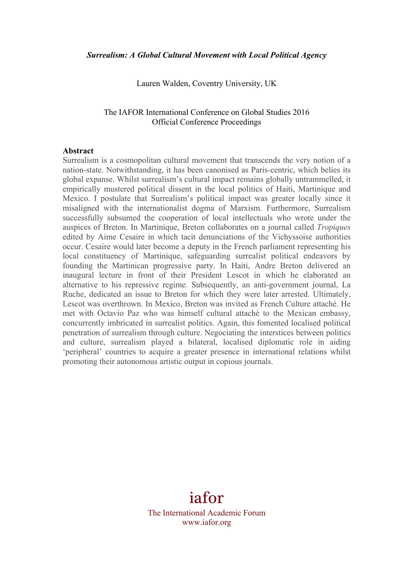Lauren Walden, Coventry University, UK

## The IAFOR International Conference on Global Studies 2016 Official Conference Proceedings

#### **Abstract**

Surrealism is a cosmopolitan cultural movement that transcends the very notion of a nation-state. Notwithstanding, it has been canonised as Paris-centric, which belies its global expanse. Whilst surrealism's cultural impact remains globally untrammelled, it empirically mustered political dissent in the local politics of Haiti, Martinique and Mexico. I postulate that Surrealism's political impact was greater locally since it misaligned with the internationalist dogma of Marxism. Furthermore, Surrealism successfully subsumed the cooperation of local intellectuals who wrote under the auspices of Breton. In Martinique, Breton collaborates on a journal called *Tropiques*  edited by Aime Cesaire in which tacit denunciations of the Vichyssoise authorities occur. Cesaire would later become a deputy in the French parliament representing his local constituency of Martinique, safeguarding surrealist political endeavors by founding the Martinican progressive party. In Haiti, Andre Breton delivered an inaugural lecture in front of their President Lescot in which he elaborated an alternative to his repressive regime. Subsequently, an anti-government journal, La Ruche, dedicated an issue to Breton for which they were later arrested. Ultimately, Lescot was overthrown. In Mexico, Breton was invited as French Culture attaché. He met with Octavio Paz who was himself cultural attaché to the Mexican embassy, concurrently imbricated in surrealist politics. Again, this fomented localised political penetration of surrealism through culture. Negociating the interstices between politics and culture, surrealism played a bilateral, localised diplomatic role in aiding 'peripheral' countries to acquire a greater presence in international relations whilst promoting their autonomous artistic output in copious journals.

# iafor

The International Academic Forum www.iafor.org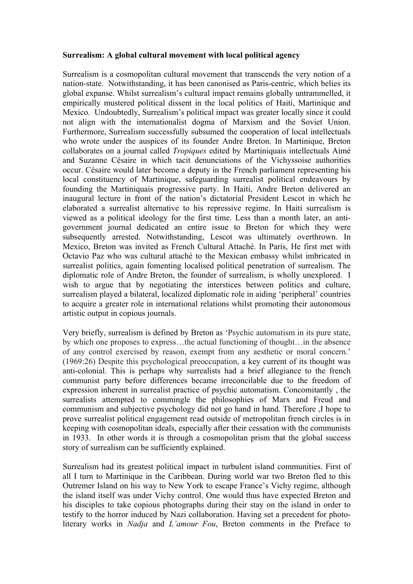### **Surrealism: A global cultural movement with local political agency**

Surrealism is a cosmopolitan cultural movement that transcends the very notion of a nation-state. Notwithstanding, it has been canonised as Paris-centric, which belies its global expanse. Whilst surrealism's cultural impact remains globally untrammelled, it empirically mustered political dissent in the local politics of Haiti, Martinique and Mexico. Undoubtedly, Surrealism's political impact was greater locally since it could not align with the internationalist dogma of Marxism and the Soviet Union. Furthermore, Surrealism successfully subsumed the cooperation of local intellectuals who wrote under the auspices of its founder Andre Breton. In Martinique, Breton collaborates on a journal called *Tropiques* edited by Martiniquais intellectuals Aimé and Suzanne Césaire in which tacit denunciations of the Vichyssoise authorities occur. Césaire would later become a deputy in the French parliament representing his local constituency of Martinique, safeguarding surrealist political endeavours by founding the Martiniquais progressive party. In Haiti, Andre Breton delivered an inaugural lecture in front of the nation's dictatorial President Lescot in which he elaborated a surrealist alternative to his repressive regime. In Haiti surrealism is viewed as a political ideology for the first time. Less than a month later, an antigovernment journal dedicated an entire issue to Breton for which they were subsequently arrested. Notwithstanding, Lescot was ultimately overthrown. In Mexico, Breton was invited as French Cultural Attaché. In Paris, He first met with Octavio Paz who was cultural attaché to the Mexican embassy whilst imbricated in surrealist politics, again fomenting localised political penetration of surrealism. The diplomatic role of Andre Breton, the founder of surrealism, is wholly unexplored. I wish to argue that by negotiating the interstices between politics and culture, surrealism played a bilateral, localized diplomatic role in aiding 'peripheral' countries to acquire a greater role in international relations whilst promoting their autonomous artistic output in copious journals.

Very briefly, surrealism is defined by Breton as 'Psychic automatism in its pure state, by which one proposes to express…the actual functioning of thought…in the absence of any control exercised by reason, exempt from any aesthetic or moral concern.' (1969:26) Despite this psychological preoccupation, a key current of its thought was anti-colonial. This is perhaps why surrealists had a brief allegiance to the french communist party before differences became irreconcilable due to the freedom of expression inherent in surrealist practice of psychic automatism. Concomitantly , the surrealists attempted to commingle the philosophies of Marx and Freud and communism and subjective psychology did not go hand in hand. Therefore ,I hope to prove surrealist political engagement read outside of metropolitan french circles is in keeping with cosmopolitan ideals, especially after their cessation with the communists in 1933. In other words it is through a cosmopolitan prism that the global success story of surrealism can be sufficiently explained.

Surrealism had its greatest political impact in turbulent island communities. First of all I turn to Martinique in the Caribbean. During world war two Breton fled to this Outremer Island on his way to New York to escape France's Vichy regime, although the island itself was under Vichy control. One would thus have expected Breton and his disciples to take copious photographs during their stay on the island in order to testify to the horror induced by Nazi collaboration. Having set a precedent for photoliterary works in *Nadja* and *L'amour Fou*, Breton comments in the Preface to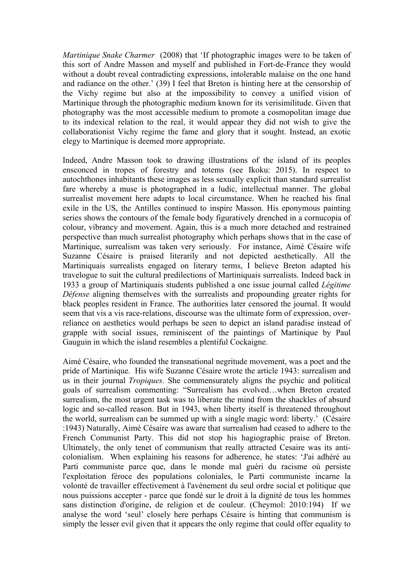*Martinique Snake Charmer* (2008) that 'If photographic images were to be taken of this sort of Andre Masson and myself and published in Fort-de-France they would without a doubt reveal contradicting expressions, intolerable malaise on the one hand and radiance on the other.' (39) I feel that Breton is hinting here at the censorship of the Vichy regime but also at the impossibility to convey a unified vision of Martinique through the photographic medium known for its verisimilitude. Given that photography was the most accessible medium to promote a cosmopolitan image due to its indexical relation to the real, it would appear they did not wish to give the collaborationist Vichy regime the fame and glory that it sought. Instead, an exotic elegy to Martinique is deemed more appropriate.

Indeed, Andre Masson took to drawing illustrations of the island of its peoples ensconced in tropes of forestry and totems (see Ikoku: 2015). In respect to autochthones inhabitants these images as less sexually explicit than standard surrealist fare whereby a muse is photographed in a ludic, intellectual manner. The global surrealist movement here adapts to local circumstance. When he reached his final exile in the US, the Antilles continued to inspire Masson. His eponymous painting series shows the contours of the female body figuratively drenched in a cornucopia of colour, vibrancy and movement. Again, this is a much more detached and restrained perspective than much surrealist photography which perhaps shows that in the case of Martinique, surrealism was taken very seriously. For instance, Aimé Césaire wife Suzanne Césaire is praised literarily and not depicted aesthetically. All the Martiniquais surrealists engaged on literary terms, I believe Breton adapted his travelogue to suit the cultural predilections of Martiniquais surrealists. Indeed back in 1933 a group of Martiniquais students published a one issue journal called *Légitime Défense* aligning themselves with the surrealists and propounding greater rights for black peoples resident in France. The authorities later censored the journal. It would seem that vis a vis race-relations, discourse was the ultimate form of expression, overreliance on aesthetics would perhaps be seen to depict an island paradise instead of grapple with social issues, reminiscent of the paintings of Martinique by Paul Gauguin in which the island resembles a plentiful Cockaigne.

Aimé Césaire, who founded the transnational negritude movement, was a poet and the pride of Martinique. His wife Suzanne Césaire wrote the article 1943: surrealism and us in their journal *Tropiques*. She commensurately aligns the psychic and political goals of surrealism commenting: "Surrealism has evolved…when Breton created surrealism, the most urgent task was to liberate the mind from the shackles of absurd logic and so-called reason. But in 1943, when liberty itself is threatened throughout the world, surrealism can be summed up with a single magic word: liberty.' (Césaire :1943) Naturally, Aimé Césaire was aware that surrealism had ceased to adhere to the French Communist Party. This did not stop his hagiographic praise of Breton. Ultimately, the only tenet of communism that really attracted Cesaire was its anticolonialism. When explaining his reasons for adherence, he states: 'J'ai adhéré au Parti communiste parce que, dans le monde mal guéri du racisme où persiste l'exploitation féroce des populations coloniales, le Parti communiste incarne la volonté de travailler effectivement à l'avènement du seul ordre social et politique que nous puissions accepter - parce que fondé sur le droit à la dignité de tous les hommes sans distinction d'origine, de religion et de couleur. (Cheymol: 2010:194) If we analyse the word 'seul' closely here perhaps Césaire is hinting that communism is simply the lesser evil given that it appears the only regime that could offer equality to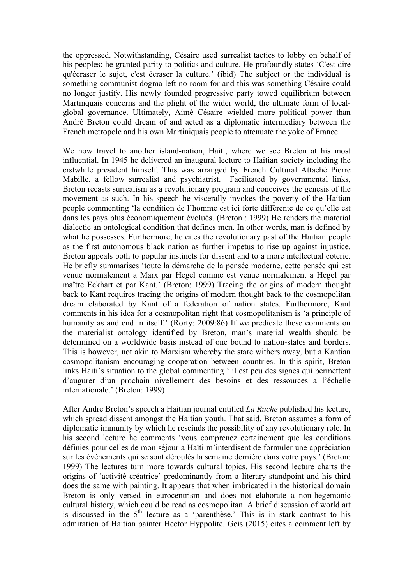the oppressed. Notwithstanding, Césaire used surrealist tactics to lobby on behalf of his peoples: he granted parity to politics and culture. He profoundly states 'C'est dire qu'écraser le sujet, c'est écraser la culture.' (ibid) The subject or the individual is something communist dogma left no room for and this was something Césaire could no longer justify. His newly founded progressive party towed equilibrium between Martinquais concerns and the plight of the wider world, the ultimate form of localglobal governance. Ultimately, Aimé Césaire wielded more political power than André Breton could dream of and acted as a diplomatic intermediary between the French metropole and his own Martiniquais people to attenuate the yoke of France.

We now travel to another island-nation, Haiti, where we see Breton at his most influential. In 1945 he delivered an inaugural lecture to Haitian society including the erstwhile president himself. This was arranged by French Cultural Attaché Pierre Mabille, a fellow surrealist and psychiatrist. Facilitated by governmental links, Breton recasts surrealism as a revolutionary program and conceives the genesis of the movement as such. In his speech he viscerally invokes the poverty of the Haitian people commenting 'la condition de l'homme est ici forte différente de ce qu'elle est dans les pays plus économiquement évolués. (Breton : 1999) He renders the material dialectic an ontological condition that defines men. In other words, man is defined by what he possesses. Furthermore, he cites the revolutionary past of the Haitian people as the first autonomous black nation as further impetus to rise up against injustice. Breton appeals both to popular instincts for dissent and to a more intellectual coterie. He briefly summarises 'toute la démarche de la pensée moderne, cette pensée qui est venue normalement a Marx par Hegel comme est venue normalement a Hegel par maître Eckhart et par Kant.' (Breton: 1999) Tracing the origins of modern thought back to Kant requires tracing the origins of modern thought back to the cosmopolitan dream elaborated by Kant of a federation of nation states. Furthermore, Kant comments in his idea for a cosmopolitan right that cosmopolitanism is 'a principle of humanity as and end in itself.' (Rorty: 2009:86) If we predicate these comments on the materialist ontology identified by Breton, man's material wealth should be determined on a worldwide basis instead of one bound to nation-states and borders. This is however, not akin to Marxism whereby the stare withers away, but a Kantian cosmopolitanism encouraging cooperation between countries. In this spirit, Breton links Haiti's situation to the global commenting ' il est peu des signes qui permettent d'augurer d'un prochain nivellement des besoins et des ressources a l'échelle internationale.' (Breton: 1999)

After Andre Breton's speech a Haitian journal entitled *La Ruche* published his lecture, which spread dissent amongst the Haitian youth. That said, Breton assumes a form of diplomatic immunity by which he rescinds the possibility of any revolutionary role. In his second lecture he comments 'vous comprenez certainement que les conditions définies pour celles de mon séjour a Haïti m'interdisent de formuler une appréciation sur les évènements qui se sont déroulés la semaine dernière dans votre pays.' (Breton: 1999) The lectures turn more towards cultural topics. His second lecture charts the origins of 'activité créatrice' predominantly from a literary standpoint and his third does the same with painting. It appears that when imbricated in the historical domain Breton is only versed in eurocentrism and does not elaborate a non-hegemonic cultural history, which could be read as cosmopolitan. A brief discussion of world art is discussed in the  $5<sup>th</sup>$  lecture as a 'parenthèse.' This is in stark contrast to his admiration of Haitian painter Hector Hyppolite. Geis (2015) cites a comment left by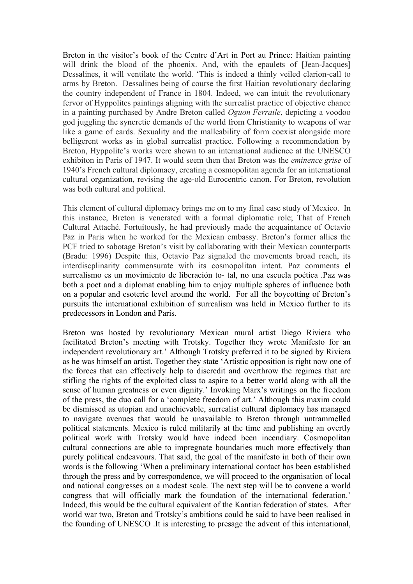Breton in the visitor's book of the Centre d'Art in Port au Prince: Haitian painting will drink the blood of the phoenix. And, with the epaulets of [Jean-Jacques] Dessalines, it will ventilate the world. 'This is indeed a thinly veiled clarion-call to arms by Breton. Dessalines being of course the first Haitian revolutionary declaring the country independent of France in 1804. Indeed, we can intuit the revolutionary fervor of Hyppolites paintings aligning with the surrealist practice of objective chance in a painting purchased by Andre Breton called *Oguon Ferraile*, depicting a voodoo god juggling the syncretic demands of the world from Christianity to weapons of war like a game of cards. Sexuality and the malleability of form coexist alongside more belligerent works as in global surrealist practice. Following a recommendation by Breton, Hyppolite's works were shown to an international audience at the UNESCO exhibiton in Paris of 1947. It would seem then that Breton was the *eminence grise* of 1940's French cultural diplomacy, creating a cosmopolitan agenda for an international cultural organization, revising the age-old Eurocentric canon. For Breton, revolution was both cultural and political.

This element of cultural diplomacy brings me on to my final case study of Mexico. In this instance, Breton is venerated with a formal diplomatic role; That of French Cultural Attaché. Fortuitously, he had previously made the acquaintance of Octavio Paz in Paris when he worked for the Mexican embassy. Breton's former allies the PCF tried to sabotage Breton's visit by collaborating with their Mexican counterparts (Bradu: 1996) Despite this, Octavio Paz signaled the movements broad reach, its interdiscplinarity commensurate with its cosmopolitan intent. Paz comments el surrealismo es un movimiento de liberación to- tal, no una escuela poética .Paz was both a poet and a diplomat enabling him to enjoy multiple spheres of influence both on a popular and esoteric level around the world. For all the boycotting of Breton's pursuits the international exhibition of surrealism was held in Mexico further to its predecessors in London and Paris.

Breton was hosted by revolutionary Mexican mural artist Diego Riviera who facilitated Breton's meeting with Trotsky. Together they wrote Manifesto for an independent revolutionary art.' Although Trotsky preferred it to be signed by Riviera as he was himself an artist. Together they state 'Artistic opposition is right now one of the forces that can effectively help to discredit and overthrow the regimes that are stifling the rights of the exploited class to aspire to a better world along with all the sense of human greatness or even dignity.' Invoking Marx's writings on the freedom of the press, the duo call for a 'complete freedom of art.' Although this maxim could be dismissed as utopian and unachievable, surrealist cultural diplomacy has managed to navigate avenues that would be unavailable to Breton through untrammelled political statements. Mexico is ruled militarily at the time and publishing an overtly political work with Trotsky would have indeed been incendiary. Cosmopolitan cultural connections are able to impregnate boundaries much more effectively than purely political endeavours. That said, the goal of the manifesto in both of their own words is the following 'When a preliminary international contact has been established through the press and by correspondence, we will proceed to the organisation of local and national congresses on a modest scale. The next step will be to convene a world congress that will officially mark the foundation of the international federation.' Indeed, this would be the cultural equivalent of the Kantian federation of states. After world war two, Breton and Trotsky's ambitions could be said to have been realised in the founding of UNESCO .It is interesting to presage the advent of this international,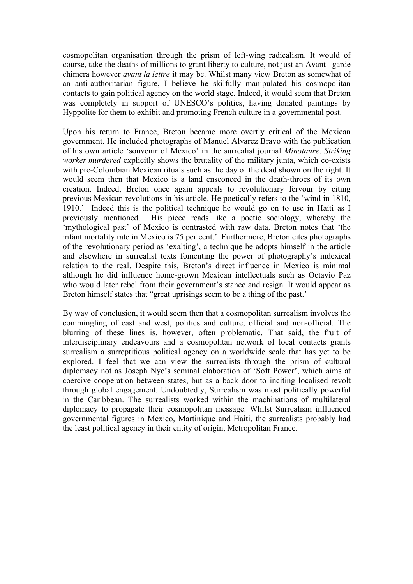cosmopolitan organisation through the prism of left-wing radicalism. It would of course, take the deaths of millions to grant liberty to culture, not just an Avant –garde chimera however *avant la lettre* it may be. Whilst many view Breton as somewhat of an anti-authoritarian figure, I believe he skilfully manipulated his cosmopolitan contacts to gain political agency on the world stage. Indeed, it would seem that Breton was completely in support of UNESCO's politics, having donated paintings by Hyppolite for them to exhibit and promoting French culture in a governmental post.

Upon his return to France, Breton became more overtly critical of the Mexican government. He included photographs of Manuel Alvarez Bravo with the publication of his own article 'souvenir of Mexico' in the surrealist journal *Minotaure*. *Striking worker murdered* explicitly shows the brutality of the military junta, which co-exists with pre-Colombian Mexican rituals such as the day of the dead shown on the right. It would seem then that Mexico is a land ensconced in the death-throes of its own creation. Indeed, Breton once again appeals to revolutionary fervour by citing previous Mexican revolutions in his article. He poetically refers to the 'wind in 1810, 1910.' Indeed this is the political technique he would go on to use in Haiti as I previously mentioned. His piece reads like a poetic sociology, whereby the 'mythological past' of Mexico is contrasted with raw data. Breton notes that 'the infant mortality rate in Mexico is 75 per cent.' Furthermore, Breton cites photographs of the revolutionary period as 'exalting', a technique he adopts himself in the article and elsewhere in surrealist texts fomenting the power of photography's indexical relation to the real. Despite this, Breton's direct influence in Mexico is minimal although he did influence home-grown Mexican intellectuals such as Octavio Paz who would later rebel from their government's stance and resign. It would appear as Breton himself states that "great uprisings seem to be a thing of the past."

By way of conclusion, it would seem then that a cosmopolitan surrealism involves the commingling of east and west, politics and culture, official and non-official. The blurring of these lines is, however, often problematic. That said, the fruit of interdisciplinary endeavours and a cosmopolitan network of local contacts grants surrealism a surreptitious political agency on a worldwide scale that has yet to be explored. I feel that we can view the surrealists through the prism of cultural diplomacy not as Joseph Nye's seminal elaboration of 'Soft Power', which aims at coercive cooperation between states, but as a back door to inciting localised revolt through global engagement. Undoubtedly, Surrealism was most politically powerful in the Caribbean. The surrealists worked within the machinations of multilateral diplomacy to propagate their cosmopolitan message. Whilst Surrealism influenced governmental figures in Mexico, Martinique and Haiti, the surrealists probably had the least political agency in their entity of origin, Metropolitan France.